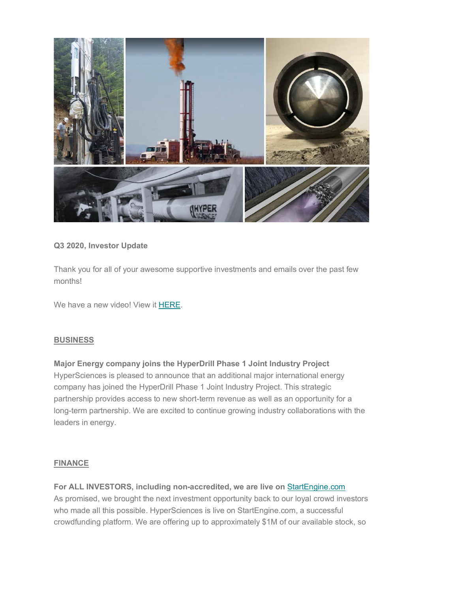

# **Q3 2020, Investor Update**

Thank you for all of your awesome supportive investments and emails over the past few months!

We have a new video! View it [HERE.](https://youtu.be/8PS8RAK7jLQ)

## **BUSINESS**

# **Major Energy company joins the HyperDrill Phase 1 Joint Industry Project**

HyperSciences is pleased to announce that an additional major international energy company has joined the HyperDrill Phase 1 Joint Industry Project. This strategic partnership provides access to new short-term revenue as well as an opportunity for a long-term partnership. We are excited to continue growing industry collaborations with the leaders in energy.

## **FINANCE**

**For ALL INVESTORS, including non-accredited, we are live on** [StartEngine.com](https://www.startengine.com/) As promised, we brought the next investment opportunity back to our loyal crowd investors who made all this possible. HyperSciences is live on StartEngine.com, a successful crowdfunding platform. We are offering up to approximately \$1M of our available stock, so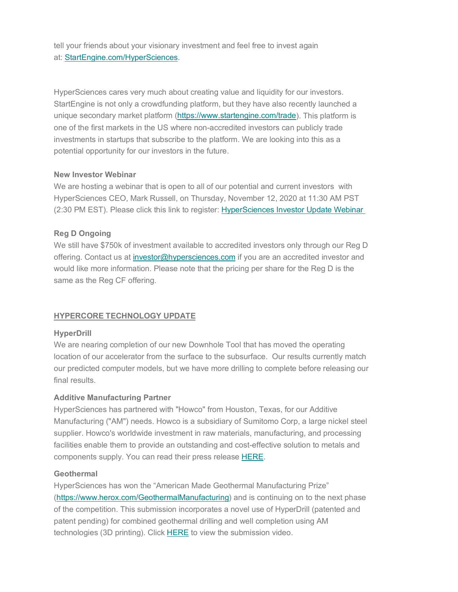tell your friends about your visionary investment and feel free to invest again at: [StartEngine.com/HyperSciences.](http://www.startengine.com/hypersciences)

HyperSciences cares very much about creating value and liquidity for our investors. StartEngine is not only a crowdfunding platform, but they have also recently launched a unique secondary market platform [\(https://www.startengine.com/trade\)](https://www.startengine.com/trade). This platform is one of the first markets in the US where non-accredited investors can publicly trade investments in startups that subscribe to the platform. We are looking into this as a potential opportunity for our investors in the future.

## **New Investor Webinar**

We are hosting a webinar that is open to all of our potential and current investors with HyperSciences CEO, Mark Russell, on Thursday, November 12, 2020 at 11:30 AM PST (2:30 PM EST). Please click this link to register: [HyperSciences Investor Update Webinar](https://us02web.zoom.us/webinar/register/6116049706865/WN_REr950psTS-THLA1wxL1Mw)

## **Reg D Ongoing**

We still have \$750k of investment available to accredited investors only through our Reg D offering. Contact us at [investor@hypersciences.com](mailto:investor@hypersciences.com) if you are an accredited investor and would like more information. Please note that the pricing per share for the Reg D is the same as the Reg CF offering.

#### **HYPERCORE TECHNOLOGY UPDATE**

#### **HyperDrill**

We are nearing completion of our new Downhole Tool that has moved the operating location of our accelerator from the surface to the subsurface. Our results currently match our predicted computer models, but we have more drilling to complete before releasing our final results.

#### **Additive Manufacturing Partner**

HyperSciences has partnered with "Howco" from Houston, Texas, for our Additive Manufacturing ("AM") needs. Howco is a subsidiary of Sumitomo Corp, a large nickel steel supplier. Howco's worldwide investment in raw materials, manufacturing, and processing facilities enable them to provide an outstanding and cost-effective solution to metals and components supply. You can read their press release [HERE.](https://www.howcogroup.com/inside-howco/news/howco-joined-hypersciences-bid-to-win-the-american-made-geothermal-manufacturing-prize)

### **Geothermal**

HyperSciences has won the "American Made Geothermal Manufacturing Prize" [\(https://www.herox.com/GeothermalManufacturing\)](https://www.herox.com/GeothermalManufacturing) and is continuing on to the next phase of the competition. This submission incorporates a novel use of HyperDrill (patented and patent pending) for combined geothermal drilling and well completion using AM technologies (3D printing). Click [HERE](https://youtu.be/Zdmivl1R0Vo) to view the submission video.